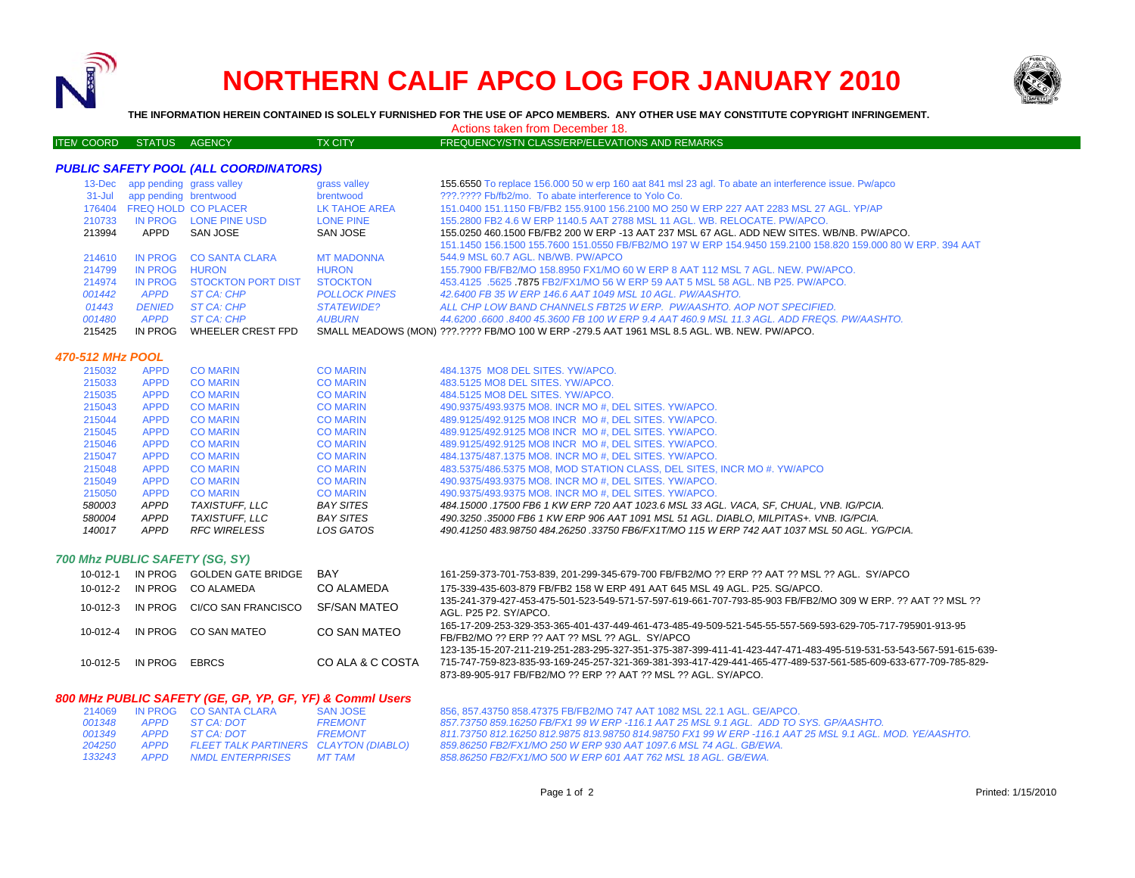

# **NORTHERN CALIF APCO LOG FOR JANUARY 2010**



**THE INFORMATION HEREIN CONTAINED IS SOLELY FURNISHED FOR THE USE OF APCO MEMBERS. ANY OTHER USE MAY CONSTITUTE COPYRIGHT INFRINGEMENT.**

Actions taken from December 18.

#### ITEM COORD STATUS AGENCY TX CITY FREQUENCY/STN CLASS/ERP/ELEVATIONS AND REMARKS

### *PUBLIC SAFETY POOL (ALL COORDINATORS)*

|            | 13-Dec app pending grass valley |                            | grass valley         | 155.6550 To replace 156.000 50 w erp 160 aat 841 msl 23 agl. To abate an interference issue. Pw/apco        |
|------------|---------------------------------|----------------------------|----------------------|-------------------------------------------------------------------------------------------------------------|
| $31 -$ Jul | app pending brentwood           |                            | brentwood            | ???.???? Fb/fb2/mo. To abate interference to Yolo Co.                                                       |
| 176404     |                                 | <b>FREQ HOLD CO PLACER</b> | LK TAHOE AREA        | 151.0400 151.1150 FB/FB2 155.9100 156.2100 MO 250 W ERP 227 AAT 2283 MSL 27 AGL. YP/AP                      |
| 210733     | IN PROG                         | LONE PINE USD              | <b>LONE PINE</b>     | 155.2800 FB2 4.6 W ERP 1140.5 AAT 2788 MSL 11 AGL. WB. RELOCATE. PW/APCO.                                   |
| 213994     | APPD                            | SAN JOSE                   | SAN JOSE             | 155,0250 460,1500 FB/FB2 200 W ERP -13 AAT 237 MSL 67 AGL, ADD NEW SITES, WB/NB, PW/APCO,                   |
|            |                                 |                            |                      | 151.1450 156.1500 155.7600 151.0550 FB/FB2/MO 197 W ERP 154.9450 159.2100 158.820 159.000 80 W ERP. 394 AAT |
| 214610     | IN PROG                         | <b>CO SANTA CLARA</b>      | <b>MT MADONNA</b>    | 544.9 MSL 60.7 AGL, NB/WB, PW/APCO                                                                          |
| 214799     | IN PROG                         | <b>HURON</b>               | <b>HURON</b>         | 155.7900 FB/FB2/MO 158.8950 FX1/MO 60 W ERP 8 AAT 112 MSL 7 AGL, NEW, PW/APCO,                              |
| 214974     | IN PROG                         | <b>STOCKTON PORT DIST</b>  | <b>STOCKTON</b>      | 453.4125 .5625 .7875 FB2/FX1/MO 56 W ERP 59 AAT 5 MSL 58 AGL. NB P25. PW/APCO.                              |
| 001442     | APPD                            | $STCA \cdot CHP$           | <b>POLLOCK PINES</b> | 42,6400 FB 35 W ERP 146.6 AAT 1049 MSL 10 AGL, PW/AASHTO.                                                   |
| 01443      | <b>DENIED</b>                   | ST CA: CHP                 | <b>STATEWIDE?</b>    | ALL CHP LOW BAND CHANNELS FBT25 W ERP. PW/AASHTO, AOP NOT SPECIFIED.                                        |
| 001480     | <b>APPD</b>                     | ST CA: CHP                 | <b>AUBURN</b>        | 44.6200 .6600 .8400 45.3600 FB 100 W ERP 9.4 AAT 460.9 MSL 11.3 AGL. ADD FREQS. PW/AASHTO.                  |
| 215425     | IN PROG                         | WHEELER CREST FPD          |                      | SMALL MEADOWS (MON) ???.???? FB/MO 100 W ERP -279.5 AAT 1961 MSL 8.5 AGL. WB. NEW. PW/APCO.                 |

#### *470-512 MHz POOL*

| 215032 | <b>APPD</b> | <b>CO MARIN</b>     | <b>CO MARIN</b>  | 484.1375 MO8 DEL SITES, YW/APCO.                                                            |
|--------|-------------|---------------------|------------------|---------------------------------------------------------------------------------------------|
| 215033 | <b>APPD</b> | <b>CO MARIN</b>     | <b>CO MARIN</b>  | 483.5125 MO8 DEL SITES, YW/APCO.                                                            |
| 215035 | <b>APPD</b> | <b>CO MARIN</b>     | <b>CO MARIN</b>  | 484.5125 MO8 DEL SITES, YW/APCO.                                                            |
| 215043 | <b>APPD</b> | <b>CO MARIN</b>     | <b>CO MARIN</b>  | 490.9375/493.9375 MO8. INCR MO #, DEL SITES. YW/APCO.                                       |
| 215044 | <b>APPD</b> | <b>CO MARIN</b>     | <b>CO MARIN</b>  | 489.9125/492.9125 MO8 INCR MO#, DEL SITES. YW/APCO.                                         |
| 215045 | <b>APPD</b> | <b>CO MARIN</b>     | <b>CO MARIN</b>  | 489.9125/492.9125 MO8 INCR MO #. DEL SITES. YW/APCO.                                        |
| 215046 | <b>APPD</b> | <b>CO MARIN</b>     | <b>CO MARIN</b>  | 489.9125/492.9125 MO8 INCR MO #. DEL SITES. YW/APCO.                                        |
| 215047 | <b>APPD</b> | <b>CO MARIN</b>     | <b>CO MARIN</b>  | 484.1375/487.1375 MO8. INCR MO #. DEL SITES. YW/APCO.                                       |
| 215048 | <b>APPD</b> | <b>CO MARIN</b>     | <b>CO MARIN</b>  | 483.5375/486.5375 MO8, MOD STATION CLASS, DEL SITES, INCR MO #. YW/APCO                     |
| 215049 | <b>APPD</b> | <b>CO MARIN</b>     | <b>CO MARIN</b>  | 490.9375/493.9375 MO8. INCR MO #. DEL SITES. YW/APCO.                                       |
| 215050 | <b>APPD</b> | <b>CO MARIN</b>     | <b>CO MARIN</b>  | 490.9375/493.9375 MO8. INCR MO #. DEL SITES, YW/APCO.                                       |
| 580003 | APPD        | TAXISTUFF. LLC      | BAY SITES        | 484.15000 .17500 FB6 1 KW ERP 720 AAT 1023.6 MSL 33 AGL. VACA. SF. CHUAL. VNB. IG/PCIA.     |
| 580004 | APPD        | TAXISTUFF. LLC      | <b>BAY SITES</b> | 490.3250.35000 FB6 1 KW ERP 906 AAT 1091 MSL 51 AGL. DIABLO. MILPITAS+, VNB. IG/PCIA.       |
| 140017 | <b>APPD</b> | <b>RFC WIRELESS</b> | LOS GATOS        | 490.41250 483.98750 484.26250 .33750 FB6/FX1T/MO 115 W ERP 742 AAT 1037 MSL 50 AGL. YG/PCIA |
|        |             |                     |                  |                                                                                             |

#### *700 Mhz PUBLIC SAFETY (SG, SY)*

| 10-012-1       | IN PROG | GOLDEN GATE BRIDGE  | BAY              | 161-259-373-701-753-839, 201-299-345-679-700 FB/FB2/MO ?? ERP ?? AAT ?? MSL ?? AGL. SY/APCO                                                                                                                                                                                                          |
|----------------|---------|---------------------|------------------|------------------------------------------------------------------------------------------------------------------------------------------------------------------------------------------------------------------------------------------------------------------------------------------------------|
| 10-012-2       | IN PROG | CO ALAMEDA          | CO ALAMEDA       | 175-339-435-603-879 FB/FB2 158 W ERP 491 AAT 645 MSL 49 AGL, P25, SG/APCO.                                                                                                                                                                                                                           |
| $10 - 012 - 3$ | IN PROG | CI/CO SAN FRANCISCO | SE/SAN MATFO     | 135-241-379-427-453-475-501-523-549-571-57-597-619-661-707-793-85-903 FB/FB2/MO 309 W ERP, ?? AAT ?? MSL ??<br>AGL, P25 P2, SY/APCO.                                                                                                                                                                 |
| 10-012-4       | IN PROG | CO SAN MATEO        | CO SAN MATEO     | 165-17-209-253-329-353-365-401-437-449-461-473-485-49-509-521-545-55-557-569-593-629-705-717-795901-913-95<br>FB/FB2/MO ?? ERP ?? AAT ?? MSL ?? AGL. SY/APCO                                                                                                                                         |
| 10-012-5       | IN PROG | <b>FBRCS</b>        | CO ALA & C COSTA | 123-135-15-207-211-219-251-283-295-327-351-375-387-399-411-41-423-447-471-483-495-519-531-53-543-567-591-615-639<br>715-747-759-823-835-93-169-245-257-321-369-381-393-417-429-441-465-477-489-537-561-585-609-633-677-709-785-829<br>873-89-905-917 FB/FB2/MO ?? ERP ?? AAT ?? MSL ?? AGL, SY/APCO. |

#### *800 MHz PUBLIC SAFETY (GE, GP, YP, GF, YF) & Comml Users*

|        |      | 214069 IN PROG CO SANTA CLARA         | <b>SAN JOSE</b> |
|--------|------|---------------------------------------|-----------------|
| 001348 |      | APPD ST CA: DOT                       | <b>FREMONT</b>  |
| 001349 | APPD | ST CA: DOT                            | <b>FREMONT</b>  |
| 204250 | APPD | FLEET TALK PARTINERS CLAYTON (DIABLO) |                 |
| 133243 | APPD | NMDL ENTERPRISES MT TAM               |                 |

856, 857.43750 858.47375 FB/FB2/MO 747 AAT 1082 MSL 22.1 AGL. GE/APCO. *FREMONT 857.73750 859.16250 FB/FX1 99 W ERP -116.1 AAT 25 MSL 9.1 AGL. ADD TO SYS. GP/AASHTO. FREMONT 811.73750 812.16250 812.9875 813.98750 814.98750 FX1 99 W ERP -116.1 AAT 25 MSL 9.1 AGL. MOD. YE/AASHTO. APPD FLEET TALK PARTINERS CLAYTON (DIABLO) 859.86250 FB2/FX1/MO 250 W ERP 930 AAT 1097.6 MSL 74 AGL. GB/EWA. APPD NMDL ENTERPRISES MT TAM 858.86250 FB2/FX1/MO 500 W ERP 601 AAT 762 MSL 18 AGL. GB/EWA.*